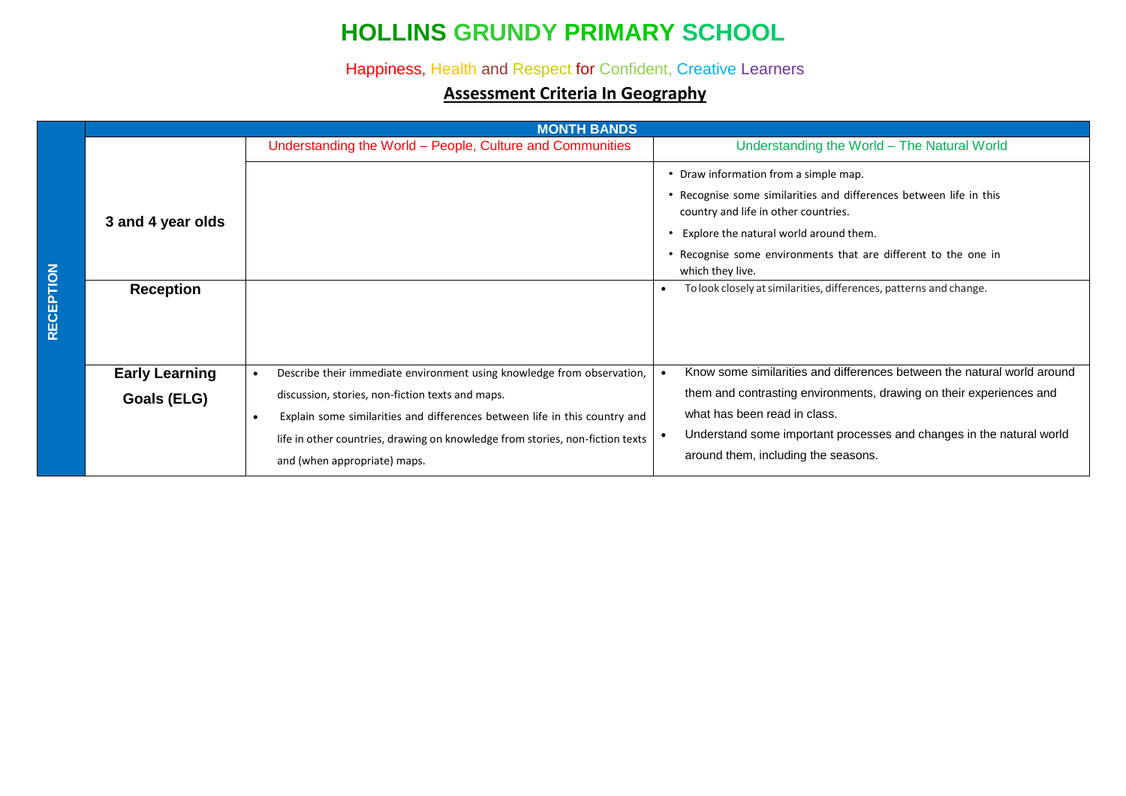# **HOLLINS GRUNDY PRIMARY SCHOOL**

#### Happiness, Health and Respect for Confident, Creative Learners

#### **Assessment Criteria In Geography**

|           |                                       | <b>MONTH BANDS</b>                                                            |                                                                                                                                                                                                                                                                                                                                                       |  |  |  |  |
|-----------|---------------------------------------|-------------------------------------------------------------------------------|-------------------------------------------------------------------------------------------------------------------------------------------------------------------------------------------------------------------------------------------------------------------------------------------------------------------------------------------------------|--|--|--|--|
|           |                                       | Understanding the World - People, Culture and Communities                     | Understanding the World - The Natural World                                                                                                                                                                                                                                                                                                           |  |  |  |  |
| RECEPTION | 3 and 4 year olds<br><b>Reception</b> |                                                                               | • Draw information from a simple map.<br>Recognise some similarities and differences between life in this<br>country and life in other countries.<br>Explore the natural world around them.<br>Recognise some environments that are different to the one in<br>which they live.<br>To look closely at similarities, differences, patterns and change. |  |  |  |  |
|           | <b>Early Learning</b>                 | Describe their immediate environment using knowledge from observation,        | Know some similarities and differences between the natural world around                                                                                                                                                                                                                                                                               |  |  |  |  |
|           | Goals (ELG)                           | discussion, stories, non-fiction texts and maps.                              | them and contrasting environments, drawing on their experiences and                                                                                                                                                                                                                                                                                   |  |  |  |  |
|           |                                       | Explain some similarities and differences between life in this country and    | what has been read in class.                                                                                                                                                                                                                                                                                                                          |  |  |  |  |
|           |                                       | life in other countries, drawing on knowledge from stories, non-fiction texts | Understand some important processes and changes in the natural world                                                                                                                                                                                                                                                                                  |  |  |  |  |
|           |                                       | and (when appropriate) maps.                                                  | around them, including the seasons.                                                                                                                                                                                                                                                                                                                   |  |  |  |  |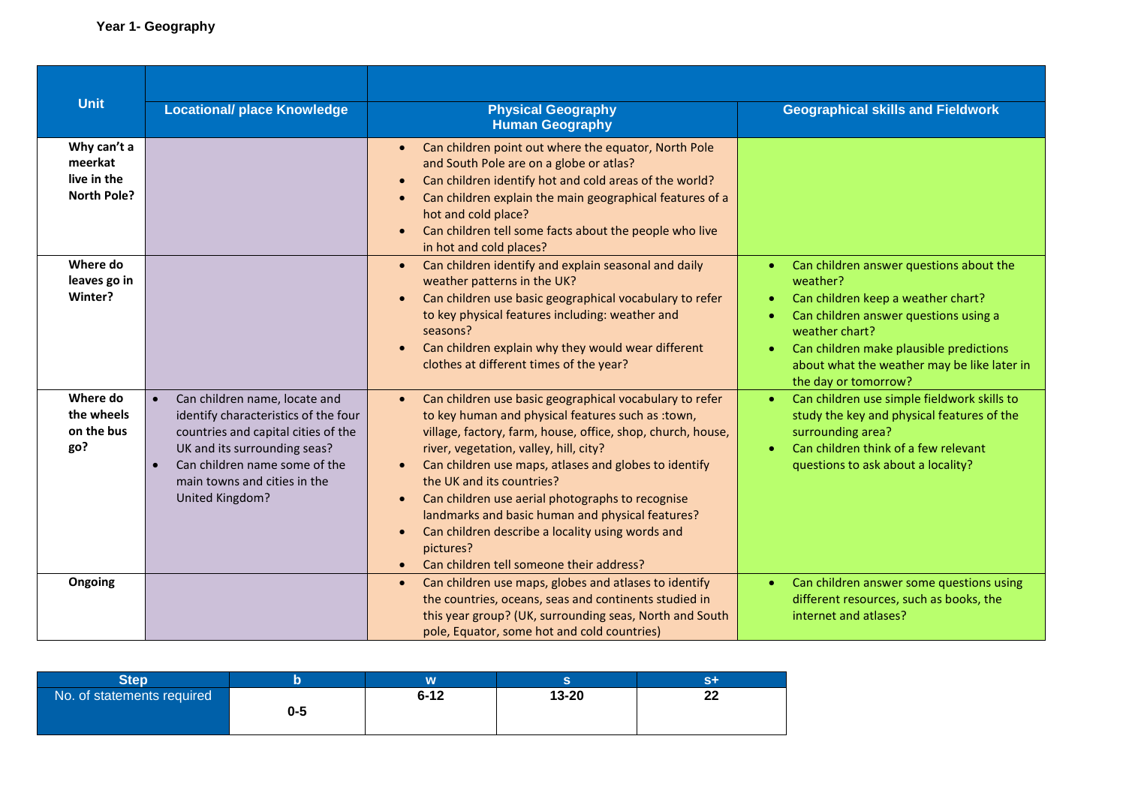| <b>Unit</b>                                                 | <b>Locational/ place Knowledge</b>                                                                                                                                                                                               | <b>Physical Geography</b><br><b>Human Geography</b>                                                                                                                                                                                                                                                                                                                                                                                                                                                                                                                                   | <b>Geographical skills and Fieldwork</b>                                                                                                                                                                                                                                            |
|-------------------------------------------------------------|----------------------------------------------------------------------------------------------------------------------------------------------------------------------------------------------------------------------------------|---------------------------------------------------------------------------------------------------------------------------------------------------------------------------------------------------------------------------------------------------------------------------------------------------------------------------------------------------------------------------------------------------------------------------------------------------------------------------------------------------------------------------------------------------------------------------------------|-------------------------------------------------------------------------------------------------------------------------------------------------------------------------------------------------------------------------------------------------------------------------------------|
| Why can't a<br>meerkat<br>live in the<br><b>North Pole?</b> |                                                                                                                                                                                                                                  | Can children point out where the equator, North Pole<br>$\bullet$<br>and South Pole are on a globe or atlas?<br>Can children identify hot and cold areas of the world?<br>$\bullet$<br>Can children explain the main geographical features of a<br>$\bullet$<br>hot and cold place?<br>Can children tell some facts about the people who live<br>$\bullet$<br>in hot and cold places?                                                                                                                                                                                                 |                                                                                                                                                                                                                                                                                     |
| Where do<br>leaves go in<br>Winter?                         |                                                                                                                                                                                                                                  | Can children identify and explain seasonal and daily<br>$\bullet$<br>weather patterns in the UK?<br>Can children use basic geographical vocabulary to refer<br>$\bullet$<br>to key physical features including: weather and<br>seasons?<br>Can children explain why they would wear different<br>clothes at different times of the year?                                                                                                                                                                                                                                              | Can children answer questions about the<br>weather?<br>Can children keep a weather chart?<br>$\bullet$<br>Can children answer questions using a<br>weather chart?<br>Can children make plausible predictions<br>about what the weather may be like later in<br>the day or tomorrow? |
| Where do<br>the wheels<br>on the bus<br>go?                 | Can children name, locate and<br>identify characteristics of the four<br>countries and capital cities of the<br>UK and its surrounding seas?<br>Can children name some of the<br>main towns and cities in the<br>United Kingdom? | Can children use basic geographical vocabulary to refer<br>$\bullet$<br>to key human and physical features such as : town,<br>village, factory, farm, house, office, shop, church, house,<br>river, vegetation, valley, hill, city?<br>Can children use maps, atlases and globes to identify<br>the UK and its countries?<br>Can children use aerial photographs to recognise<br>$\bullet$<br>landmarks and basic human and physical features?<br>Can children describe a locality using words and<br>$\bullet$<br>pictures?<br>Can children tell someone their address?<br>$\bullet$ | Can children use simple fieldwork skills to<br>$\bullet$<br>study the key and physical features of the<br>surrounding area?<br>Can children think of a few relevant<br>questions to ask about a locality?                                                                           |
| Ongoing                                                     |                                                                                                                                                                                                                                  | Can children use maps, globes and atlases to identify<br>$\bullet$<br>the countries, oceans, seas and continents studied in<br>this year group? (UK, surrounding seas, North and South<br>pole, Equator, some hot and cold countries)                                                                                                                                                                                                                                                                                                                                                 | Can children answer some questions using<br>$\bullet$<br>different resources, such as books, the<br>internet and atlases?                                                                                                                                                           |

| Step                       |     | <b>W.</b> |           |             |
|----------------------------|-----|-----------|-----------|-------------|
| No. of statements required | 0-5 | $6 - 12$  | $13 - 20$ | $\sim$<br>⊷ |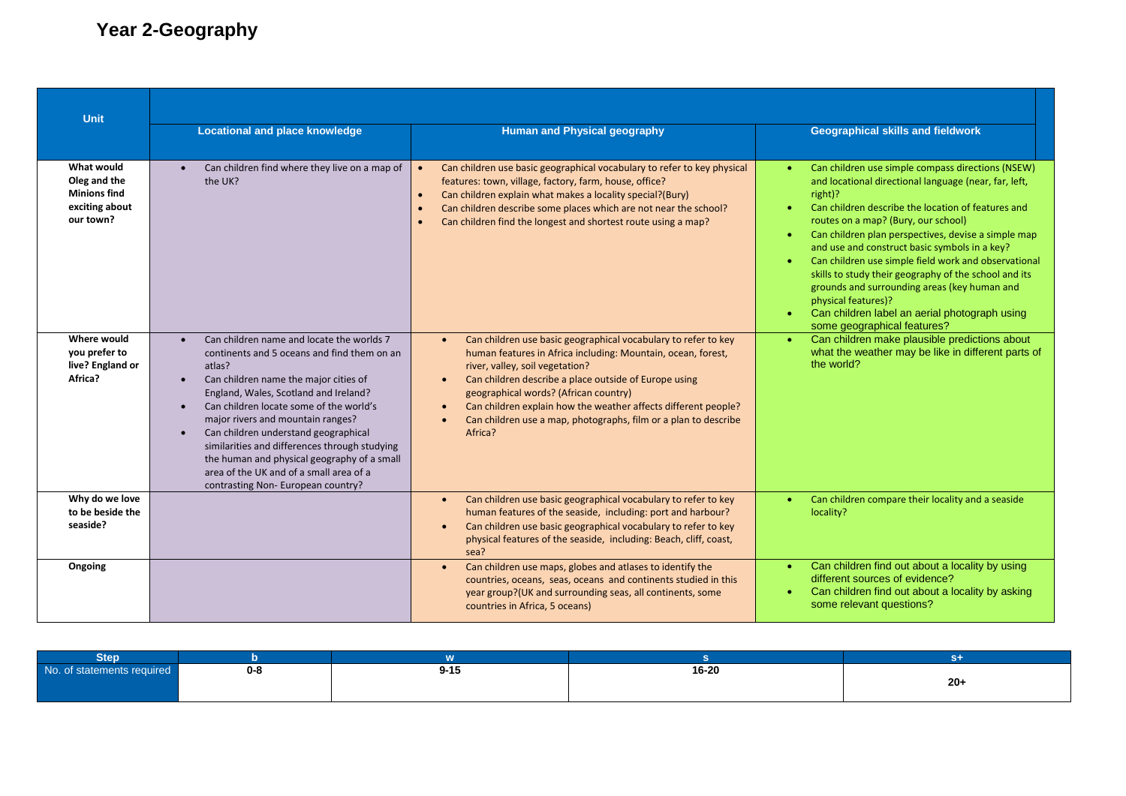## **Year 2-Geography**

| Unit                                                                             |                                                                                                                                                                                                                                                                                                                                                                                                                                                                                                                                     |                                                                                                                                                                                                                                                                                                                                                                                                                                  |                                                                                                                                                                                                                                                                                                                                                                                                                                                                                                                                                                                                                 |  |  |
|----------------------------------------------------------------------------------|-------------------------------------------------------------------------------------------------------------------------------------------------------------------------------------------------------------------------------------------------------------------------------------------------------------------------------------------------------------------------------------------------------------------------------------------------------------------------------------------------------------------------------------|----------------------------------------------------------------------------------------------------------------------------------------------------------------------------------------------------------------------------------------------------------------------------------------------------------------------------------------------------------------------------------------------------------------------------------|-----------------------------------------------------------------------------------------------------------------------------------------------------------------------------------------------------------------------------------------------------------------------------------------------------------------------------------------------------------------------------------------------------------------------------------------------------------------------------------------------------------------------------------------------------------------------------------------------------------------|--|--|
|                                                                                  | <b>Locational and place knowledge</b>                                                                                                                                                                                                                                                                                                                                                                                                                                                                                               | <b>Human and Physical geography</b>                                                                                                                                                                                                                                                                                                                                                                                              | <b>Geographical skills and fieldwork</b>                                                                                                                                                                                                                                                                                                                                                                                                                                                                                                                                                                        |  |  |
| What would<br>Oleg and the<br><b>Minions find</b><br>exciting about<br>our town? | Can children find where they live on a map of<br>the UK?                                                                                                                                                                                                                                                                                                                                                                                                                                                                            | Can children use basic geographical vocabulary to refer to key physical<br>features: town, village, factory, farm, house, office?<br>Can children explain what makes a locality special?(Bury)<br>$\bullet$<br>Can children describe some places which are not near the school?<br>Can children find the longest and shortest route using a map?                                                                                 | Can children use simple compass directions (NSEW)<br>and locational directional language (near, far, left,<br>right)?<br>Can children describe the location of features and<br>routes on a map? (Bury, our school)<br>Can children plan perspectives, devise a simple map<br>$\bullet$<br>and use and construct basic symbols in a key?<br>Can children use simple field work and observational<br>skills to study their geography of the school and its<br>grounds and surrounding areas (key human and<br>physical features)?<br>Can children label an aerial photograph using<br>some geographical features? |  |  |
| Where would<br>you prefer to<br>live? England or<br>Africa?                      | Can children name and locate the worlds 7<br>continents and 5 oceans and find them on an<br>atlas?<br>Can children name the major cities of<br>$\bullet$<br>England, Wales, Scotland and Ireland?<br>Can children locate some of the world's<br>$\bullet$<br>major rivers and mountain ranges?<br>Can children understand geographical<br>$\bullet$<br>similarities and differences through studying<br>the human and physical geography of a small<br>area of the UK and of a small area of a<br>contrasting Non-European country? | Can children use basic geographical vocabulary to refer to key<br>$\bullet$<br>human features in Africa including: Mountain, ocean, forest,<br>river, valley, soil vegetation?<br>Can children describe a place outside of Europe using<br>geographical words? (African country)<br>Can children explain how the weather affects different people?<br>Can children use a map, photographs, film or a plan to describe<br>Africa? | Can children make plausible predictions about<br>what the weather may be like in different parts of<br>the world?                                                                                                                                                                                                                                                                                                                                                                                                                                                                                               |  |  |
| Why do we love<br>to be beside the<br>seaside?                                   |                                                                                                                                                                                                                                                                                                                                                                                                                                                                                                                                     | Can children use basic geographical vocabulary to refer to key<br>human features of the seaside, including: port and harbour?<br>Can children use basic geographical vocabulary to refer to key<br>physical features of the seaside, including: Beach, cliff, coast,<br>sea?                                                                                                                                                     | Can children compare their locality and a seaside<br>$\bullet$<br>locality?                                                                                                                                                                                                                                                                                                                                                                                                                                                                                                                                     |  |  |
| Ongoing                                                                          |                                                                                                                                                                                                                                                                                                                                                                                                                                                                                                                                     | Can children use maps, globes and atlases to identify the<br>$\bullet$<br>countries, oceans, seas, oceans and continents studied in this<br>year group?(UK and surrounding seas, all continents, some<br>countries in Africa, 5 oceans)                                                                                                                                                                                          | Can children find out about a locality by using<br>$\bullet$<br>different sources of evidence?<br>Can children find out about a locality by asking<br>some relevant questions?                                                                                                                                                                                                                                                                                                                                                                                                                                  |  |  |

| <b>Step</b>              |         |          |       |       |
|--------------------------|---------|----------|-------|-------|
| .<br>statements required | $0 - 8$ | $9 - 15$ | 16-20 |       |
|                          |         |          |       | $20+$ |
|                          |         |          |       |       |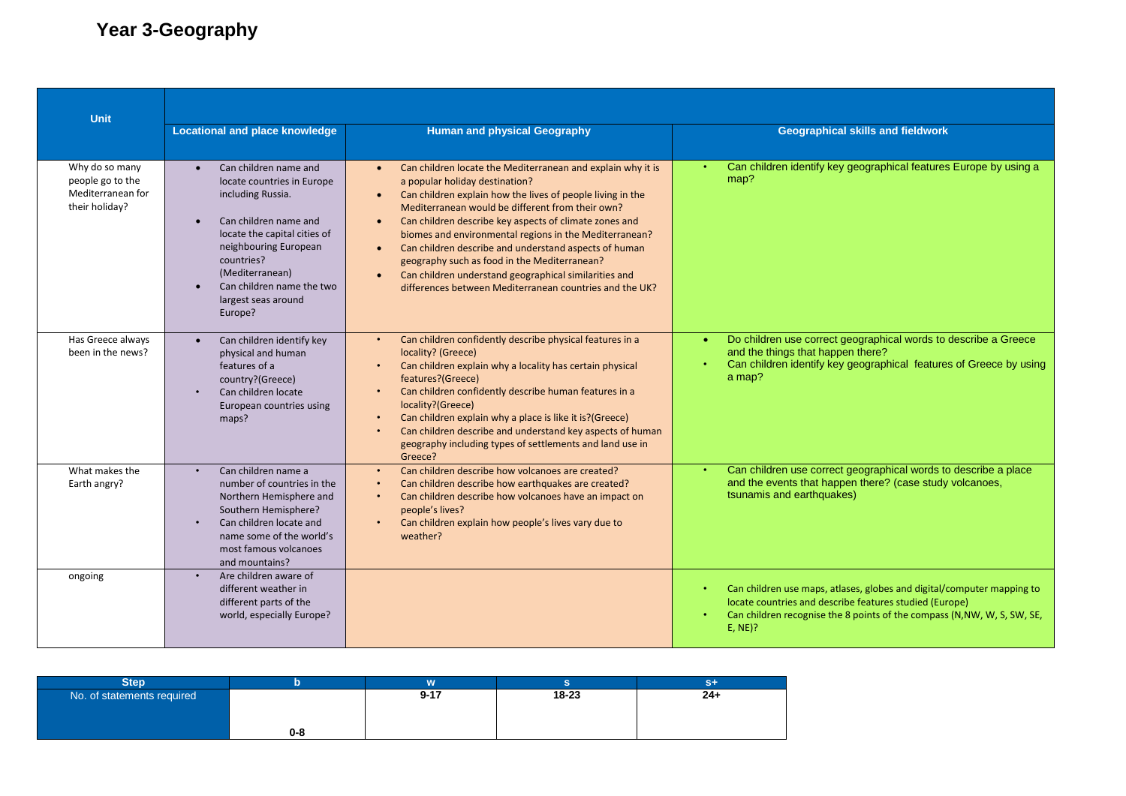## **Year 3-Geography**

| <b>Unit</b>                                                               |                                                                                                                                                                                                                                                            |                                                                                                                                                                                                                                                                                                                                                                                                                                                                                                                                                                                                                      |                                                                                                                                                                                                                                         |  |  |
|---------------------------------------------------------------------------|------------------------------------------------------------------------------------------------------------------------------------------------------------------------------------------------------------------------------------------------------------|----------------------------------------------------------------------------------------------------------------------------------------------------------------------------------------------------------------------------------------------------------------------------------------------------------------------------------------------------------------------------------------------------------------------------------------------------------------------------------------------------------------------------------------------------------------------------------------------------------------------|-----------------------------------------------------------------------------------------------------------------------------------------------------------------------------------------------------------------------------------------|--|--|
|                                                                           | <b>Locational and place knowledge</b>                                                                                                                                                                                                                      | <b>Human and physical Geography</b>                                                                                                                                                                                                                                                                                                                                                                                                                                                                                                                                                                                  | <b>Geographical skills and fieldwork</b>                                                                                                                                                                                                |  |  |
| Why do so many<br>people go to the<br>Mediterranean for<br>their holiday? | Can children name and<br>locate countries in Europe<br>including Russia.<br>Can children name and<br>locate the capital cities of<br>neighbouring European<br>countries?<br>(Mediterranean)<br>Can children name the two<br>largest seas around<br>Europe? | Can children locate the Mediterranean and explain why it is<br>$\bullet$<br>a popular holiday destination?<br>Can children explain how the lives of people living in the<br>$\bullet$<br>Mediterranean would be different from their own?<br>Can children describe key aspects of climate zones and<br>biomes and environmental regions in the Mediterranean?<br>Can children describe and understand aspects of human<br>$\bullet$<br>geography such as food in the Mediterranean?<br>Can children understand geographical similarities and<br>$\bullet$<br>differences between Mediterranean countries and the UK? | Can children identify key geographical features Europe by using a<br>map?                                                                                                                                                               |  |  |
| Has Greece always<br>been in the news?                                    | Can children identify key<br>$\bullet$<br>physical and human<br>features of a<br>country?(Greece)<br>Can children locate<br>European countries using<br>maps?                                                                                              | Can children confidently describe physical features in a<br>$\bullet$<br>locality? (Greece)<br>Can children explain why a locality has certain physical<br>features?(Greece)<br>Can children confidently describe human features in a<br>locality?(Greece)<br>Can children explain why a place is like it is?(Greece)<br>Can children describe and understand key aspects of human<br>geography including types of settlements and land use in<br>Greece?                                                                                                                                                            | Do children use correct geographical words to describe a Greece<br>and the things that happen there?<br>Can children identify key geographical features of Greece by using<br>a map?                                                    |  |  |
| What makes the<br>Earth angry?                                            | Can children name a<br>number of countries in the<br>Northern Hemisphere and<br>Southern Hemisphere?<br>Can children locate and<br>name some of the world's<br>most famous volcanoes<br>and mountains?                                                     | Can children describe how volcanoes are created?<br>$\bullet$<br>Can children describe how earthquakes are created?<br>Can children describe how volcanoes have an impact on<br>people's lives?<br>Can children explain how people's lives vary due to<br>weather?                                                                                                                                                                                                                                                                                                                                                   | Can children use correct geographical words to describe a place<br>and the events that happen there? (case study volcanoes,<br>tsunamis and earthquakes)                                                                                |  |  |
| ongoing                                                                   | Are children aware of<br>different weather in<br>different parts of the<br>world, especially Europe?                                                                                                                                                       |                                                                                                                                                                                                                                                                                                                                                                                                                                                                                                                                                                                                                      | Can children use maps, atlases, globes and digital/computer mapping to<br>$\bullet$<br>locate countries and describe features studied (Europe)<br>Can children recognise the 8 points of the compass (N, NW, W, S, SW, SE,<br>$E, NE$ ? |  |  |

| Step.                      |     | .        |       |       |
|----------------------------|-----|----------|-------|-------|
| No. of statements required |     | $9 - 17$ | 18-23 | $24+$ |
|                            | 0-8 |          |       |       |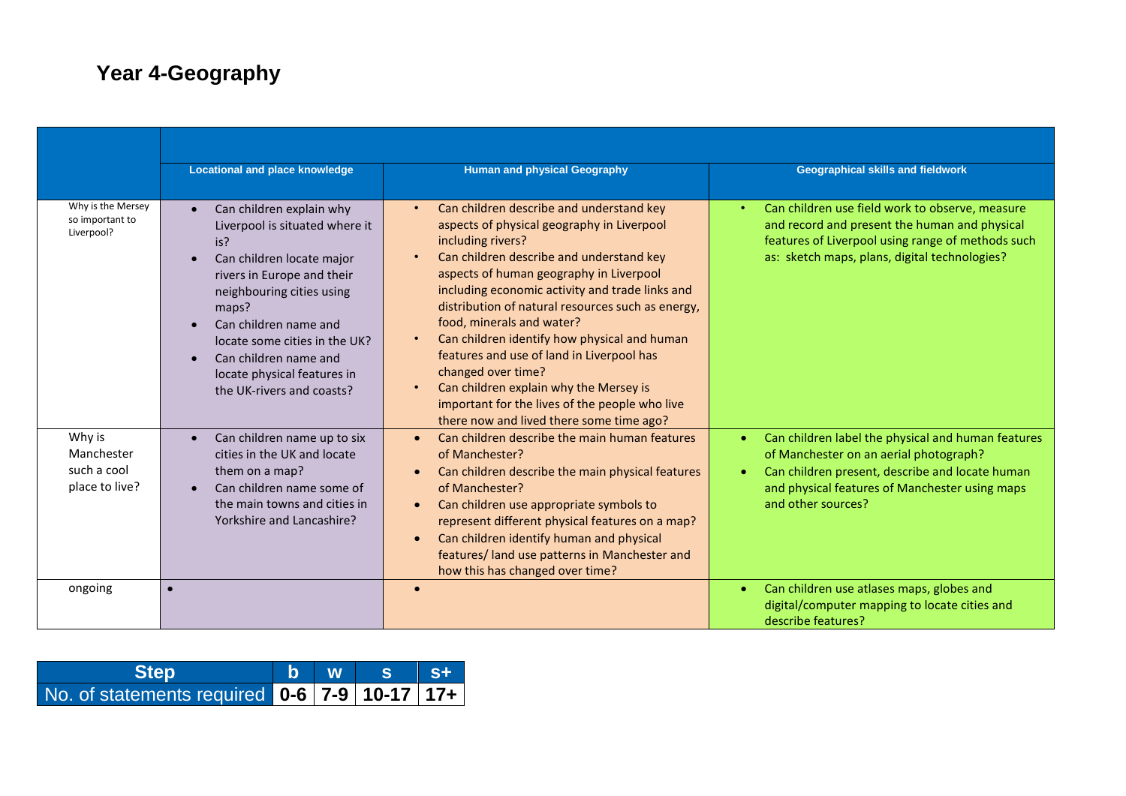## **Year 4-Geography**

|                                                       | <b>Locational and place knowledge</b>                                                                                                                                                                                                                                                                             | <b>Human and physical Geography</b>                                                                                                                                                                                                                                                                                                                                                                                                                                                                                                                                                                | <b>Geographical skills and fieldwork</b>                                                                                                                                                                                |
|-------------------------------------------------------|-------------------------------------------------------------------------------------------------------------------------------------------------------------------------------------------------------------------------------------------------------------------------------------------------------------------|----------------------------------------------------------------------------------------------------------------------------------------------------------------------------------------------------------------------------------------------------------------------------------------------------------------------------------------------------------------------------------------------------------------------------------------------------------------------------------------------------------------------------------------------------------------------------------------------------|-------------------------------------------------------------------------------------------------------------------------------------------------------------------------------------------------------------------------|
| Why is the Mersey<br>so important to<br>Liverpool?    | Can children explain why<br>Liverpool is situated where it<br>is?<br>Can children locate major<br>rivers in Europe and their<br>neighbouring cities using<br>maps?<br>Can children name and<br>locate some cities in the UK?<br>Can children name and<br>locate physical features in<br>the UK-rivers and coasts? | Can children describe and understand key<br>aspects of physical geography in Liverpool<br>including rivers?<br>Can children describe and understand key<br>aspects of human geography in Liverpool<br>including economic activity and trade links and<br>distribution of natural resources such as energy,<br>food, minerals and water?<br>Can children identify how physical and human<br>features and use of land in Liverpool has<br>changed over time?<br>Can children explain why the Mersey is<br>important for the lives of the people who live<br>there now and lived there some time ago? | Can children use field work to observe, measure<br>and record and present the human and physical<br>features of Liverpool using range of methods such<br>as: sketch maps, plans, digital technologies?                  |
| Why is<br>Manchester<br>such a cool<br>place to live? | Can children name up to six<br>cities in the UK and locate<br>them on a map?<br>Can children name some of<br>$\bullet$<br>the main towns and cities in<br>Yorkshire and Lancashire?                                                                                                                               | Can children describe the main human features<br>of Manchester?<br>Can children describe the main physical features<br>of Manchester?<br>Can children use appropriate symbols to<br>represent different physical features on a map?<br>Can children identify human and physical<br>features/ land use patterns in Manchester and<br>how this has changed over time?                                                                                                                                                                                                                                | Can children label the physical and human features<br>of Manchester on an aerial photograph?<br>Can children present, describe and locate human<br>and physical features of Manchester using maps<br>and other sources? |
| ongoing                                               |                                                                                                                                                                                                                                                                                                                   |                                                                                                                                                                                                                                                                                                                                                                                                                                                                                                                                                                                                    | Can children use atlases maps, globes and<br>$\bullet$<br>digital/computer mapping to locate cities and<br>describe features?                                                                                           |

| <b>Step</b>                                  |  | b W S | ∣ S+ |
|----------------------------------------------|--|-------|------|
| No. of statements required 0-6 7-9 10-17 17+ |  |       |      |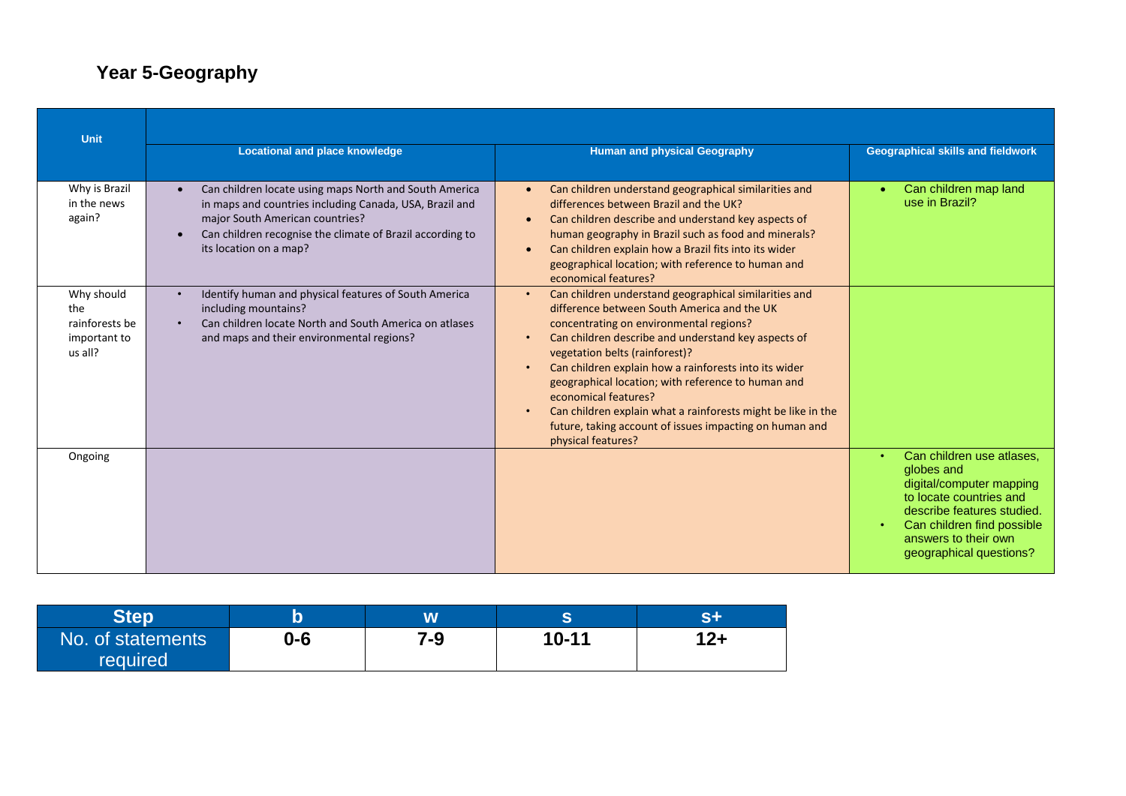## **Year 5-Geography**

| <b>Unit</b>                                                    |                                                                                                                                                                                                                                             |                                                                                                                                                                                                                                                                                                                                                                                                                                                                                                                                                            |                                                                                                                                                                                                                            |  |
|----------------------------------------------------------------|---------------------------------------------------------------------------------------------------------------------------------------------------------------------------------------------------------------------------------------------|------------------------------------------------------------------------------------------------------------------------------------------------------------------------------------------------------------------------------------------------------------------------------------------------------------------------------------------------------------------------------------------------------------------------------------------------------------------------------------------------------------------------------------------------------------|----------------------------------------------------------------------------------------------------------------------------------------------------------------------------------------------------------------------------|--|
|                                                                | <b>Locational and place knowledge</b>                                                                                                                                                                                                       | <b>Human and physical Geography</b>                                                                                                                                                                                                                                                                                                                                                                                                                                                                                                                        | <b>Geographical skills and fieldwork</b>                                                                                                                                                                                   |  |
| Why is Brazil<br>in the news<br>again?                         | Can children locate using maps North and South America<br>in maps and countries including Canada, USA, Brazil and<br>major South American countries?<br>Can children recognise the climate of Brazil according to<br>its location on a map? | Can children understand geographical similarities and<br>differences between Brazil and the UK?<br>Can children describe and understand key aspects of<br>$\bullet$<br>human geography in Brazil such as food and minerals?<br>Can children explain how a Brazil fits into its wider<br>geographical location; with reference to human and<br>economical features?                                                                                                                                                                                         | Can children map land<br>use in Brazil?                                                                                                                                                                                    |  |
| Why should<br>the<br>rainforests be<br>important to<br>us all? | Identify human and physical features of South America<br>including mountains?<br>Can children locate North and South America on atlases<br>and maps and their environmental regions?                                                        | Can children understand geographical similarities and<br>$\bullet$<br>difference between South America and the UK<br>concentrating on environmental regions?<br>Can children describe and understand key aspects of<br>vegetation belts (rainforest)?<br>Can children explain how a rainforests into its wider<br>$\bullet$<br>geographical location; with reference to human and<br>economical features?<br>Can children explain what a rainforests might be like in the<br>future, taking account of issues impacting on human and<br>physical features? |                                                                                                                                                                                                                            |  |
| Ongoing                                                        |                                                                                                                                                                                                                                             |                                                                                                                                                                                                                                                                                                                                                                                                                                                                                                                                                            | Can children use atlases.<br>$\bullet$<br>globes and<br>digital/computer mapping<br>to locate countries and<br>describe features studied.<br>Can children find possible<br>answers to their own<br>geographical questions? |  |

|                               |     | W   |           |  |
|-------------------------------|-----|-----|-----------|--|
| No. of statements<br>required | 0-6 | 7-9 | $10 - 11$ |  |